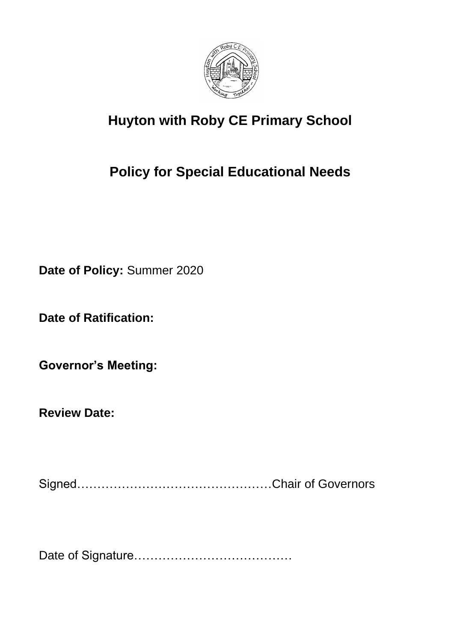

# **Huyton with Roby CE Primary School**

# **Policy for Special Educational Needs**

**Date of Policy:** Summer 2020

**Date of Ratification:**

**Governor's Meeting:**

**Review Date:**

Signed…………………………………………Chair of Governors

Date of Signature…………………………………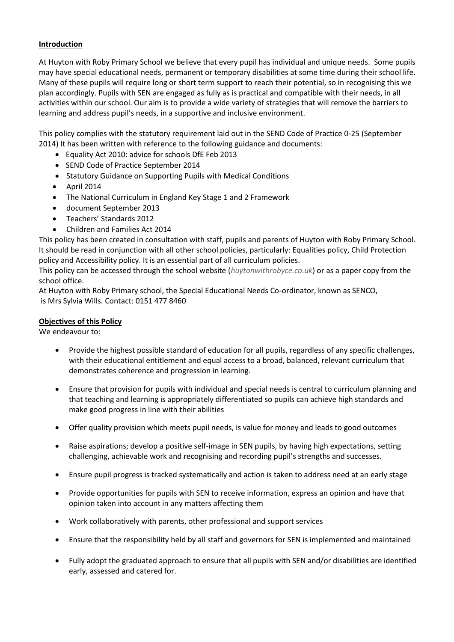# **Introduction**

At Huyton with Roby Primary School we believe that every pupil has individual and unique needs. Some pupils may have special educational needs, permanent or temporary disabilities at some time during their school life. Many of these pupils will require long or short term support to reach their potential, so in recognising this we plan accordingly. Pupils with SEN are engaged as fully as is practical and compatible with their needs, in all activities within our school. Our aim is to provide a wide variety of strategies that will remove the barriers to learning and address pupil's needs, in a supportive and inclusive environment.

This policy complies with the statutory requirement laid out in the SEND Code of Practice 0-25 (September 2014) It has been written with reference to the following guidance and documents:

- Equality Act 2010: advice for schools DfE Feb 2013
- SEND Code of Practice September 2014
- Statutory Guidance on Supporting Pupils with Medical Conditions
- April 2014
- The National Curriculum in England Key Stage 1 and 2 Framework
- document September 2013
- Teachers' Standards 2012
- Children and Families Act 2014

This policy has been created in consultation with staff, pupils and parents of Huyton with Roby Primary School. It should be read in conjunction with all other school policies, particularly: Equalities policy, Child Protection policy and Accessibility policy. It is an essential part of all curriculum policies.

This policy can be accessed through the school website (*huytonwithrobyce.co.uk*) or as a paper copy from the school office.

At Huyton with Roby Primary school, the Special Educational Needs Co-ordinator, known as SENCO, is Mrs Sylvia Wills. Contact: 0151 477 8460

# **Objectives of this Policy**

We endeavour to:

- Provide the highest possible standard of education for all pupils, regardless of any specific challenges, with their educational entitlement and equal access to a broad, balanced, relevant curriculum that demonstrates coherence and progression in learning.
- Ensure that provision for pupils with individual and special needs is central to curriculum planning and that teaching and learning is appropriately differentiated so pupils can achieve high standards and make good progress in line with their abilities
- Offer quality provision which meets pupil needs, is value for money and leads to good outcomes
- Raise aspirations; develop a positive self-image in SEN pupils, by having high expectations, setting challenging, achievable work and recognising and recording pupil's strengths and successes.
- Ensure pupil progress is tracked systematically and action is taken to address need at an early stage
- Provide opportunities for pupils with SEN to receive information, express an opinion and have that opinion taken into account in any matters affecting them
- Work collaboratively with parents, other professional and support services
- Ensure that the responsibility held by all staff and governors for SEN is implemented and maintained
- Fully adopt the graduated approach to ensure that all pupils with SEN and/or disabilities are identified early, assessed and catered for.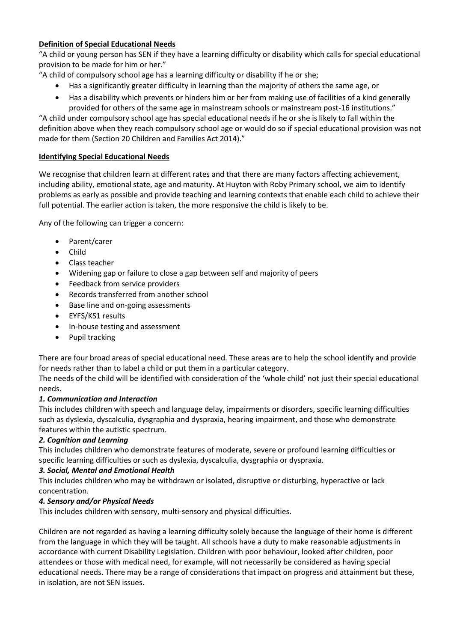# **Definition of Special Educational Needs**

"A child or young person has SEN if they have a learning difficulty or disability which calls for special educational provision to be made for him or her."

- "A child of compulsory school age has a learning difficulty or disability if he or she;
	- Has a significantly greater difficulty in learning than the majority of others the same age, or
	- Has a disability which prevents or hinders him or her from making use of facilities of a kind generally provided for others of the same age in mainstream schools or mainstream post-16 institutions."

"A child under compulsory school age has special educational needs if he or she is likely to fall within the definition above when they reach compulsory school age or would do so if special educational provision was not made for them (Section 20 Children and Families Act 2014)."

# **Identifying Special Educational Needs**

We recognise that children learn at different rates and that there are many factors affecting achievement, including ability, emotional state, age and maturity. At Huyton with Roby Primary school, we aim to identify problems as early as possible and provide teaching and learning contexts that enable each child to achieve their full potential. The earlier action is taken, the more responsive the child is likely to be.

Any of the following can trigger a concern:

- Parent/carer
- Child
- Class teacher
- Widening gap or failure to close a gap between self and majority of peers
- Feedback from service providers
- Records transferred from another school
- Base line and on-going assessments
- EYFS/KS1 results
- In-house testing and assessment
- Pupil tracking

There are four broad areas of special educational need. These areas are to help the school identify and provide for needs rather than to label a child or put them in a particular category.

The needs of the child will be identified with consideration of the 'whole child' not just their special educational needs.

#### *1. Communication and Interaction*

This includes children with speech and language delay, impairments or disorders, specific learning difficulties such as dyslexia, dyscalculia, dysgraphia and dyspraxia, hearing impairment, and those who demonstrate features within the autistic spectrum.

#### *2. Cognition and Learning*

This includes children who demonstrate features of moderate, severe or profound learning difficulties or specific learning difficulties or such as dyslexia, dyscalculia, dysgraphia or dyspraxia.

# *3. Social, Mental and Emotional Health*

This includes children who may be withdrawn or isolated, disruptive or disturbing, hyperactive or lack concentration.

#### *4. Sensory and/or Physical Needs*

This includes children with sensory, multi-sensory and physical difficulties.

Children are not regarded as having a learning difficulty solely because the language of their home is different from the language in which they will be taught. All schools have a duty to make reasonable adjustments in accordance with current Disability Legislation. Children with poor behaviour, looked after children, poor attendees or those with medical need, for example, will not necessarily be considered as having special educational needs. There may be a range of considerations that impact on progress and attainment but these, in isolation, are not SEN issues.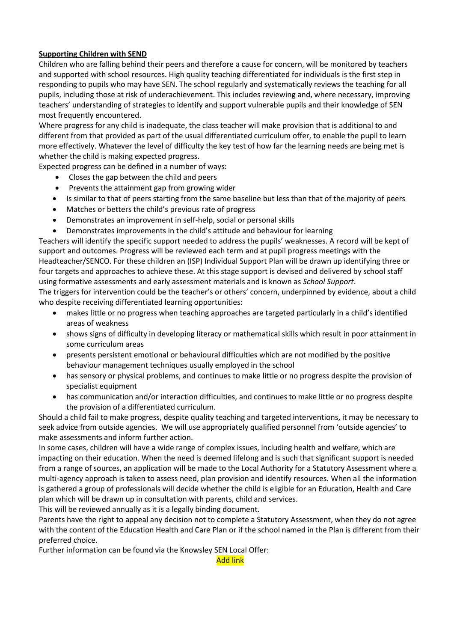# **Supporting Children with SEND**

Children who are falling behind their peers and therefore a cause for concern, will be monitored by teachers and supported with school resources. High quality teaching differentiated for individuals is the first step in responding to pupils who may have SEN. The school regularly and systematically reviews the teaching for all pupils, including those at risk of underachievement. This includes reviewing and, where necessary, improving teachers' understanding of strategies to identify and support vulnerable pupils and their knowledge of SEN most frequently encountered.

Where progress for any child is inadequate, the class teacher will make provision that is additional to and different from that provided as part of the usual differentiated curriculum offer, to enable the pupil to learn more effectively. Whatever the level of difficulty the key test of how far the learning needs are being met is whether the child is making expected progress.

Expected progress can be defined in a number of ways:

- Closes the gap between the child and peers
- Prevents the attainment gap from growing wider
- Is similar to that of peers starting from the same baseline but less than that of the majority of peers
- Matches or betters the child's previous rate of progress
- Demonstrates an improvement in self-help, social or personal skills
- Demonstrates improvements in the child's attitude and behaviour for learning

Teachers will identify the specific support needed to address the pupils' weaknesses. A record will be kept of support and outcomes. Progress will be reviewed each term and at pupil progress meetings with the Headteacher/SENCO. For these children an (ISP) Individual Support Plan will be drawn up identifying three or four targets and approaches to achieve these. At this stage support is devised and delivered by school staff using formative assessments and early assessment materials and is known as *School Support*.

The triggers for intervention could be the teacher's or others' concern, underpinned by evidence, about a child who despite receiving differentiated learning opportunities:

- makes little or no progress when teaching approaches are targeted particularly in a child's identified areas of weakness
- shows signs of difficulty in developing literacy or mathematical skills which result in poor attainment in some curriculum areas
- presents persistent emotional or behavioural difficulties which are not modified by the positive behaviour management techniques usually employed in the school
- has sensory or physical problems, and continues to make little or no progress despite the provision of specialist equipment
- has communication and/or interaction difficulties, and continues to make little or no progress despite the provision of a differentiated curriculum.

Should a child fail to make progress, despite quality teaching and targeted interventions, it may be necessary to seek advice from outside agencies. We will use appropriately qualified personnel from 'outside agencies' to make assessments and inform further action.

In some cases, children will have a wide range of complex issues, including health and welfare, which are impacting on their education. When the need is deemed lifelong and is such that significant support is needed from a range of sources, an application will be made to the Local Authority for a Statutory Assessment where a multi-agency approach is taken to assess need, plan provision and identify resources. When all the information is gathered a group of professionals will decide whether the child is eligible for an Education, Health and Care plan which will be drawn up in consultation with parents, child and services.

This will be reviewed annually as it is a legally binding document.

Parents have the right to appeal any decision not to complete a Statutory Assessment, when they do not agree with the content of the Education Health and Care Plan or if the school named in the Plan is different from their preferred choice.

Further information can be found via the Knowsley SEN Local Offer:

Add link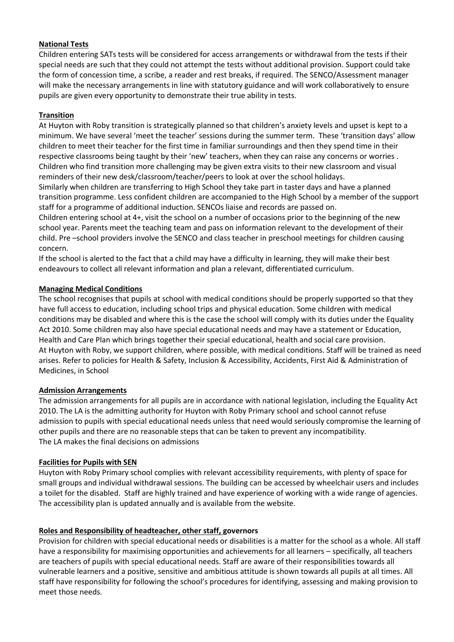## **National Tests**

Children entering SATs tests will be considered for access arrangements or withdrawal from the tests if their special needs are such that they could not attempt the tests without additional provision. Support could take the form of concession time, a scribe, a reader and rest breaks, if required. The SENCO/Assessment manager will make the necessary arrangements in line with statutory guidance and will work collaboratively to ensure pupils are given every opportunity to demonstrate their true ability in tests.

## **Transition**

At Huyton with Roby transition is strategically planned so that children's anxiety levels and upset is kept to a minimum. We have several 'meet the teacher' sessions during the summer term. These 'transition days' allow children to meet their teacher for the first time in familiar surroundings and then they spend time in their respective classrooms being taught by their 'new' teachers, when they can raise any concerns or worries . Children who find transition more challenging may be given extra visits to their new classroom and visual reminders of their new desk/classroom/teacher/peers to look at over the school holidays.

Similarly when children are transferring to High School they take part in taster days and have a planned transition programme. Less confident children are accompanied to the High School by a member of the support staff for a programme of additional induction. SENCOs liaise and records are passed on.

Children entering school at 4+, visit the school on a number of occasions prior to the beginning of the new school year. Parents meet the teaching team and pass on information relevant to the development of their child. Pre –school providers involve the SENCO and class teacher in preschool meetings for children causing concern.

If the school is alerted to the fact that a child may have a difficulty in learning, they will make their best endeavours to collect all relevant information and plan a relevant, differentiated curriculum.

## **Managing Medical Conditions**

The school recognises that pupils at school with medical conditions should be properly supported so that they have full access to education, including school trips and physical education. Some children with medical conditions may be disabled and where this is the case the school will comply with its duties under the Equality Act 2010. Some children may also have special educational needs and may have a statement or Education, Health and Care Plan which brings together their special educational, health and social care provision. At Huyton with Roby, we support children, where possible, with medical conditions. Staff will be trained as need arises. Refer to policies for Health & Safety, Inclusion & Accessibility, Accidents, First Aid & Administration of Medicines, in School

#### **Admission Arrangements**

The admission arrangements for all pupils are in accordance with national legislation, including the Equality Act 2010. The LA is the admitting authority for Huyton with Roby Primary school and school cannot refuse admission to pupils with special educational needs unless that need would seriously compromise the learning of other pupils and there are no reasonable steps that can be taken to prevent any incompatibility. The LA makes the final decisions on admissions

#### **Facilities for Pupils with SEN**

Huyton with Roby Primary school complies with relevant accessibility requirements, with plenty of space for small groups and individual withdrawal sessions. The building can be accessed by wheelchair users and includes a toilet for the disabled. Staff are highly trained and have experience of working with a wide range of agencies. The accessibility plan is updated annually and is available from the website.

# **Roles and Responsibility of headteacher, other staff, governors**

Provision for children with special educational needs or disabilities is a matter for the school as a whole. All staff have a responsibility for maximising opportunities and achievements for all learners – specifically, all teachers are teachers of pupils with special educational needs. Staff are aware of their responsibilities towards all vulnerable learners and a positive, sensitive and ambitious attitude is shown towards all pupils at all times. All staff have responsibility for following the school's procedures for identifying, assessing and making provision to meet those needs.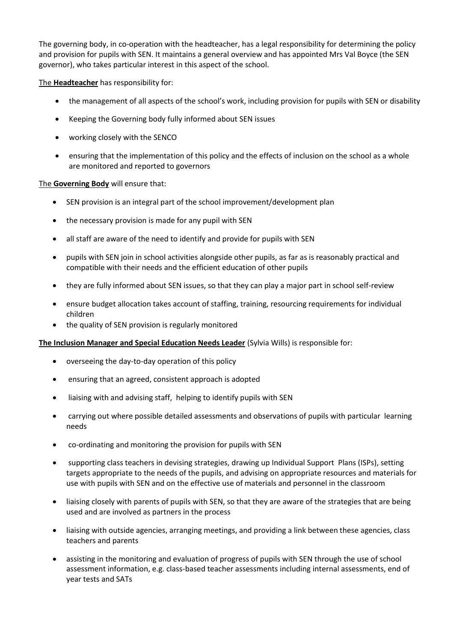The governing body, in co-operation with the headteacher, has a legal responsibility for determining the policy and provision for pupils with SEN. It maintains a general overview and has appointed Mrs Val Boyce (the SEN governor), who takes particular interest in this aspect of the school.

The **Headteacher** has responsibility for:

- the management of all aspects of the school's work, including provision for pupils with SEN or disability
- Keeping the Governing body fully informed about SEN issues
- working closely with the SENCO
- ensuring that the implementation of this policy and the effects of inclusion on the school as a whole are monitored and reported to governors

## The **Governing Body** will ensure that:

- SEN provision is an integral part of the school improvement/development plan
- the necessary provision is made for any pupil with SEN
- all staff are aware of the need to identify and provide for pupils with SEN
- pupils with SEN join in school activities alongside other pupils, as far as is reasonably practical and compatible with their needs and the efficient education of other pupils
- they are fully informed about SEN issues, so that they can play a major part in school self-review
- ensure budget allocation takes account of staffing, training, resourcing requirements for individual children
- the quality of SEN provision is regularly monitored

#### **The Inclusion Manager and Special Education Needs Leader** (Sylvia Wills) is responsible for:

- overseeing the day-to-day operation of this policy
- ensuring that an agreed, consistent approach is adopted
- liaising with and advising staff, helping to identify pupils with SEN
- carrying out where possible detailed assessments and observations of pupils with particular learning needs
- co-ordinating and monitoring the provision for pupils with SEN
- supporting class teachers in devising strategies, drawing up Individual Support Plans (ISPs), setting targets appropriate to the needs of the pupils, and advising on appropriate resources and materials for use with pupils with SEN and on the effective use of materials and personnel in the classroom
- liaising closely with parents of pupils with SEN, so that they are aware of the strategies that are being used and are involved as partners in the process
- liaising with outside agencies, arranging meetings, and providing a link between these agencies, class teachers and parents
- assisting in the monitoring and evaluation of progress of pupils with SEN through the use of school assessment information, e.g. class-based teacher assessments including internal assessments, end of year tests and SATs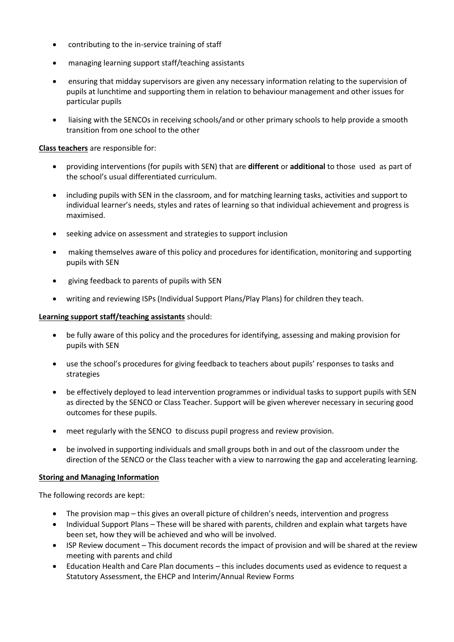- contributing to the in-service training of staff
- managing learning support staff/teaching assistants
- ensuring that midday supervisors are given any necessary information relating to the supervision of pupils at lunchtime and supporting them in relation to behaviour management and other issues for particular pupils
- liaising with the SENCOs in receiving schools/and or other primary schools to help provide a smooth transition from one school to the other

**Class teachers** are responsible for:

- providing interventions (for pupils with SEN) that are **different** or **additional** to those used as part of the school's usual differentiated curriculum.
- including pupils with SEN in the classroom, and for matching learning tasks, activities and support to individual learner's needs, styles and rates of learning so that individual achievement and progress is maximised.
- seeking advice on assessment and strategies to support inclusion
- making themselves aware of this policy and procedures for identification, monitoring and supporting pupils with SEN
- giving feedback to parents of pupils with SEN
- writing and reviewing ISPs (Individual Support Plans/Play Plans) for children they teach.

#### **Learning support staff/teaching assistants** should:

- be fully aware of this policy and the procedures for identifying, assessing and making provision for pupils with SEN
- use the school's procedures for giving feedback to teachers about pupils' responses to tasks and strategies
- be effectively deployed to lead intervention programmes or individual tasks to support pupils with SEN as directed by the SENCO or Class Teacher. Support will be given wherever necessary in securing good outcomes for these pupils.
- meet regularly with the SENCO to discuss pupil progress and review provision.
- be involved in supporting individuals and small groups both in and out of the classroom under the direction of the SENCO or the Class teacher with a view to narrowing the gap and accelerating learning.

#### **Storing and Managing Information**

The following records are kept:

- The provision map this gives an overall picture of children's needs, intervention and progress
- Individual Support Plans These will be shared with parents, children and explain what targets have been set, how they will be achieved and who will be involved.
- ISP Review document This document records the impact of provision and will be shared at the review meeting with parents and child
- Education Health and Care Plan documents this includes documents used as evidence to request a Statutory Assessment, the EHCP and Interim/Annual Review Forms